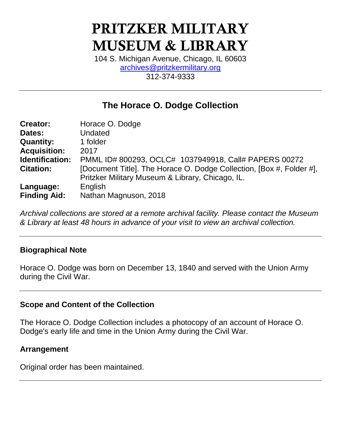# **PRITZKER MILITARY MUSEUM & LIBRARY**

104 S. Michigan Avenue, Chicago, IL 60603 [archives@pritzkermilitary.org](mailto:archives@pritzkermilitary.org) 312-374-9333

# **The Horace O. Dodge Collection**

| <b>Creator:</b>     | Horace O. Dodge                                                      |  |  |  |
|---------------------|----------------------------------------------------------------------|--|--|--|
| Dates:              | Undated                                                              |  |  |  |
| <b>Quantity:</b>    | 1 folder                                                             |  |  |  |
| <b>Acquisition:</b> | 2017                                                                 |  |  |  |
| Identification:     | PMML ID# 800293, OCLC# 1037949918, Call# PAPERS 00272                |  |  |  |
| <b>Citation:</b>    | [Document Title]. The Horace O. Dodge Collection, [Box #, Folder #], |  |  |  |
|                     | Pritzker Military Museum & Library, Chicago, IL.                     |  |  |  |
| Language:           | English                                                              |  |  |  |
| <b>Finding Aid:</b> | Nathan Magnuson, 2018                                                |  |  |  |

*Archival collections are stored at a remote archival facility. Please contact the Museum & Library at least 48 hours in advance of your visit to view an archival collection.*

#### **Biographical Note**

Horace O. Dodge was born on December 13, 1840 and served with the Union Army during the Civil War.

#### **Scope and Content of the Collection**

The Horace O. Dodge Collection includes a photocopy of an account of Horace O. Dodge's early life and time in the Union Army during the Civil War.

#### **Arrangement**

Original order has been maintained.